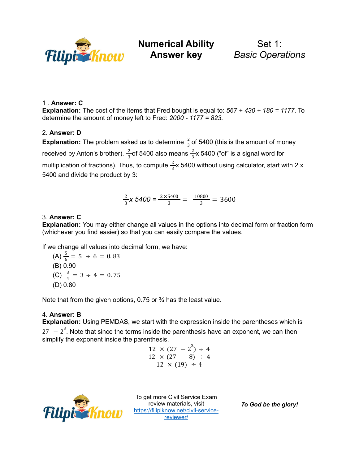

**Numerical Ability**

Set 1: *Basic Operations*

### 1 . **Answer: C**

**Explanation:** The cost of the items that Fred bought is equal to: *567 + 430 + 180 = 1177*. To determine the amount of money left to Fred: *2000 - 1177 = 823.*

## 2. **Answer: D**

**Explanation:** The problem asked us to determine  $\frac{2}{5}$  of 5400 (this is the amount of money 3 received by Anton's brother).  $\frac{2}{3}$ of 5400 also means  $\frac{2}{3}$ x 5400 ("of" is a signal word for 3 2 3 multiplication of fractions). Thus, to compute  $\frac{2}{3}x$  5400 without using calculator, start with 2 x 3 5400 and divide the product by 3:

$$
\frac{2}{3}x\ 5400 = \frac{2 \times 5400}{3} = \frac{10800}{3} = 3600
$$

#### 3. **Answer: C**

**Explanation:** You may either change all values in the options into decimal form or fraction form (whichever you find easier) so that you can easily compare the values.

If we change all values into decimal form, we have:

(A) 
$$
\frac{5}{6} = 5 \div 6 = 0.83
$$
  
\n(B) 0.90  
\n(C)  $\frac{3}{4} = 3 \div 4 = 0.75$   
\n(D) 0.80

Note that from the given options, 0.75 or <sup>3</sup>/<sub>4</sub> has the least value.

#### 4. **Answer: B**

**Explanation:** Using PEMDAS, we start with the expression inside the parentheses which is 27  $-2^3$ . Note that since the terms inside the parenthesis have an exponent, we can then simplify the exponent inside the parenthesis.

$$
12 \times (27 - 2^3) \div 4
$$
  
12 \times (27 - 8) \div 4  
12 \times (19) \div 4



To get more Civil Service Exam review materials, visit [https://filipiknow.net/civil-service](https://filipiknow.net/civil-service-reviewer/)[reviewer/](https://filipiknow.net/civil-service-reviewer/)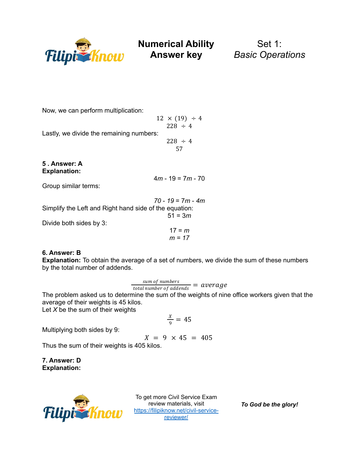

Set 1: *Basic Operations*

Now, we can perform multiplication:

 $12 \times (19) \div 4$  $228 \div 4$ Lastly, we divide the remaining numbers:  $228 \div 4$ 57

**5 . Answer: A Explanation:**

4*m* - 19 = 7*m* - 70

Group similar terms:

*70* - *19* = 7*m* - *4m* Simplify the Left and Right hand side of the equation: 51 = 3*m* Divide both sides by 3:

$$
17 = m
$$
  

$$
m = 17
$$

# **6. Answer: B**

**Explanation:** To obtain the average of a set of numbers, we divide the sum of these numbers by the total number of addends.

 $\frac{sum\space of\; numbers}{total\;number\;of\;address} = \textit{average}$ 

The problem asked us to determine the sum of the weights of nine office workers given that the average of their weights is 45 kilos.

Let *X* be the sum of their weights

$$
\frac{x}{9} = 45
$$

Multiplying both sides by 9:

$$
X = 9 \times 45 = 405
$$

Thus the sum of their weights is 405 kilos.

**7. Answer: D Explanation:**



To get more Civil Service Exam review materials, visit [https://filipiknow.net/civil-service](https://filipiknow.net/civil-service-reviewer/)[reviewer/](https://filipiknow.net/civil-service-reviewer/)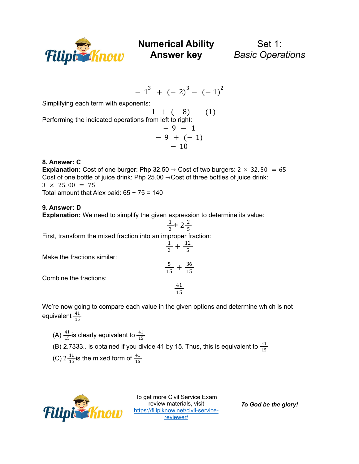

Set 1: *Basic Operations*

$$
-1^3 + (-2)^3 - (-1)^2
$$

Simplifying each term with exponents:

$$
- 1 + (-8) - (1)
$$
  
Performing the indicated operations from left to right:  

$$
- 9 - 1
$$
  

$$
- 9 + (-1)
$$
  

$$
- 10
$$

## **8. Answer: C**

**Explanation:** Cost of one burger: Php 32.50  $\rightarrow$  Cost of two burgers: 2  $\times$  32.50 = 65 Cost of one bottle of juice drink: Php 25.00 →Cost of three bottles of juice drink:  $3 \times 25.00 = 75$ Total amount that Alex paid:  $65 + 75 = 140$ 

#### **9. Answer: D**

**Explanation:** We need to simplify the given expression to determine its value:

$$
\frac{1}{3} + 2\frac{2}{5}
$$

First, transform the mixed fraction into an improper fraction:

$$
\frac{1}{3} + \frac{12}{5}
$$

$$
\frac{5}{15} + \frac{36}{15}
$$

Combine the fractions:

Make the fractions similar:

$$
\frac{41}{15}
$$

We're now going to compare each value in the given options and determine which is not equivalent  $\frac{41}{15}$ 15

- (A)  $\frac{41}{15}$  is clearly equivalent to 15 41 15
- (B) 2.7333.. is obtained if you divide 41 by 15. Thus, this is equivalent to  $\frac{41}{15}$ 15
- (C)  $2\frac{11}{15}$  is the mixed form of 15 41 15



To get more Civil Service Exam review materials, visit [https://filipiknow.net/civil-service](https://filipiknow.net/civil-service-reviewer/)[reviewer/](https://filipiknow.net/civil-service-reviewer/)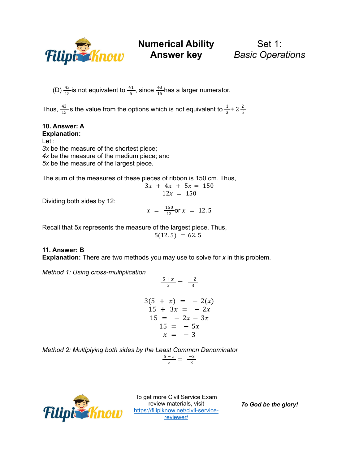

Set 1: *Basic Operations*

(D)  $\frac{43}{15}$  is not equivalent to  $\frac{41}{5}$ , since  $\frac{43}{15}$  has a larger numerator. 15 41 5 43 15

Thus,  $\frac{43}{15}$  is the value from the options which is not equivalent to  $\frac{1}{2}$ + 15 1  $rac{1}{3}$  + 2 $rac{2}{5}$ 5

**10. Answer: A Explanation:** Let : *3x* be the measure of the shortest piece; *4x* be the measure of the medium piece; and *5x* be the measure of the largest piece.

The sum of the measures of these pieces of ribbon is 150 cm. Thus,

$$
3x + 4x + 5x = 150
$$
  

$$
12x = 150
$$

Dividing both sides by 12:

$$
x = \frac{150}{12}
$$
or  $x = 12.5$ 

Recall that 5*x* represents the measure of the largest piece. Thus,  $5(12.5) = 62.5$ 

# **11. Answer: B**

**Explanation:** There are two methods you may use to solve for *x* in this problem.

*Method 1: Using cross-multiplication*

$$
\frac{5+x}{x} = \frac{-2}{3}
$$
  
3(5 + x) = -2(x)

$$
15 + 3x = -2x \n15 = -2x - 3x \n15 = -5x \nx = -3
$$

*Method 2: Multiplying both sides by the Least Common Denominator*

$$
\frac{5+x}{x} = \frac{-2}{3}
$$



To get more Civil Service Exam review materials, visit [https://filipiknow.net/civil-service](https://filipiknow.net/civil-service-reviewer/)[reviewer/](https://filipiknow.net/civil-service-reviewer/)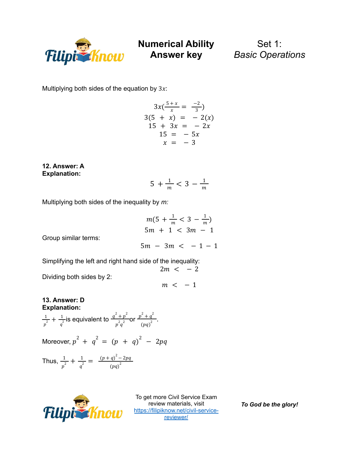

Set 1: *Basic Operations*

Multiplying both sides of the equation by  $3x$ :

$$
3x(\frac{5+x}{x} = \frac{-2}{3})
$$
  
3(5 + x) = -2(x)  
15 + 3x = -2x  
15 = -5x  
x = -3

**12. Answer: A Explanation:**

 $5 + \frac{1}{m} < 3 - \frac{1}{m}$  $\,m$ 

Multiplying both sides of the inequality by *m:*

$$
m(5 + \frac{1}{m} < 3 - \frac{1}{m})
$$
\n
$$
5m + 1 < 3m - 1
$$
\n
$$
5m - 3m < -1 - 1
$$

Group similar terms:

Simplifying the left and right hand side of the inequality:  $2m < -2$ 

Dividing both sides by 2:

 $m < -1$ 

#### **13. Answer: D Explanation:**

 $\frac{1}{2}$  +  $\frac{1}{2}$  is equivalent to  $\frac{q^2+p^2}{2}$  or  $\frac{p^2+q^2}{2}$ .  $rac{1}{p^2} + \frac{1}{q^2}$  $q^2$  $q^2 + p^2$  $p^2q^2$  $p^2 + q^2$  $(pq)^2$ 

Moreover, 
$$
p^2 + q^2 = (p + q)^2 - 2pq
$$

Thus, 
$$
\frac{1}{p^2} + \frac{1}{q^2} = \frac{(p+q)^2 - 2pq}{(pq)^2}
$$



To get more Civil Service Exam review materials, visit [https://filipiknow.net/civil-service](https://filipiknow.net/civil-service-reviewer/)[reviewer/](https://filipiknow.net/civil-service-reviewer/)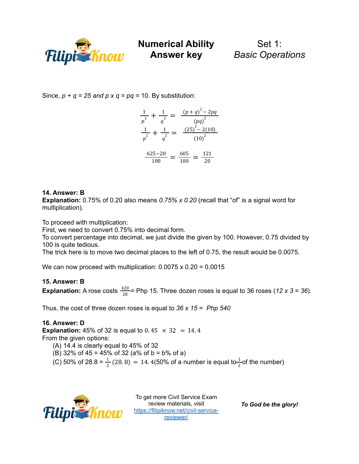

Set 1: *Basic Operations*

Since,  $p + q = 25$  *and*  $p \times q = pq = 10$ . By substitution:

$$
\frac{1}{p^2} + \frac{1}{q^2} = \frac{(p+q)^2 - 2pq}{(pq)^2}
$$

$$
\frac{1}{p^2} + \frac{1}{q^2} = \frac{(25)^2 - 2(10)}{(10)^2}
$$

$$
\frac{625 - 20}{100} = \frac{605}{100} = \frac{121}{20}
$$

## **14. Answer: B**

**Explanation:** 0.75% of 0.20 also means *0.75% x 0.20* (recall that "of" is a signal word for multiplication).

To proceed with multiplication:

First, we need to convert 0.75% into decimal form.

To convert percentage into decimal, we just divide the given by 100. However, 0.75 divided by 100 is quite tedious.

The trick here is to move two decimal places to the left of 0.75, the result would be 0.0075.

We can now proceed with multiplication:  $0.0075 \times 0.20 = 0.0015$ 

#### **15. Answer: B**

**Explanation:** A rose costs  $\frac{420}{28}$  = Php 15. Three dozen roses is equal to 36 roses (12 *x* 3 = 36). 28

Thus, the cost of three dozen roses is equal to *36 x 15 = Php 540*

# **16. Answer: D**

**Explanation:** 45% of 32 is equal to 0.45  $\times$  32 = 14.4 From the given options:

- (A) 14.4 is clearly equal to 45% of 32
- (B) 32% of 45 = 45% of 32 (a% of b = b% of a)
- (C) 50% of 28.8 =  $\frac{1}{2}$  (28.8) = 14.4(50% of a number is equal to  $\frac{1}{2}$  of the number)  $\frac{1}{2}$  (28. 8) = 14. 4(50% of a number is equal to $\frac{1}{2}$ 2



To get more Civil Service Exam review materials, visit [https://filipiknow.net/civil-service](https://filipiknow.net/civil-service-reviewer/)[reviewer/](https://filipiknow.net/civil-service-reviewer/)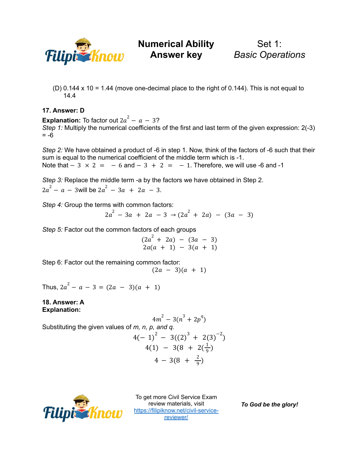

Set 1: *Basic Operations*

(D)  $0.144 \times 10 = 1.44$  (move one-decimal place to the right of  $0.144$ ). This is not equal to 14.4

#### **17. Answer: D**

**Explanation:** To factor out  $2a^2 - a - 3$ ? *Step* 1: Multiply the numerical coefficients of the first and last term of the given expression: 2(-3)  $= -6$ 

*Step 2:* We have obtained a product of -6 in step 1. Now, think of the factors of -6 such that their sum is equal to the numerical coefficient of the middle term which is -1. Note that  $-3 \times 2 = -6$  and  $-3 + 2 = -1$ . Therefore, we will use -6 and -1

*Step 3:* Replace the middle term -a by the factors we have obtained in Step 2.  $2a^2 - a - 3$  will be  $2a^2 - 3a + 2a - 3$ .

*Step 4:* Group the terms with common factors:

$$
2a^2 - 3a + 2a - 3 \rightarrow (2a^2 + 2a) - (3a - 3)
$$

*Step 5:* Factor out the common factors of each groups

 $(2a^{2} + 2a) - (3a - 3)$  $2a(a + 1) - 3(a + 1)$ 

Step 6: Factor out the remaining common factor:

 $(2a - 3)(a + 1)$ 

Thus,  $2a^2 - a - 3 = (2a - 3)(a + 1)$ 

#### **18. Answer: A Explanation:**

Substituting the given values of *m*, *n*, *p*, and *q*.  
\n
$$
4m^{2} - 3(n^{3} + 2p^{q})
$$
\n
$$
4(-1)^{2} - 3((2)^{3} + 2(3)^{-2})
$$
\n
$$
4(1) - 3(8 + 2(\frac{1}{9}))
$$
\n
$$
4 - 3(8 + \frac{2}{9})
$$



To get more Civil Service Exam review materials, visit [https://filipiknow.net/civil-service](https://filipiknow.net/civil-service-reviewer/)[reviewer/](https://filipiknow.net/civil-service-reviewer/)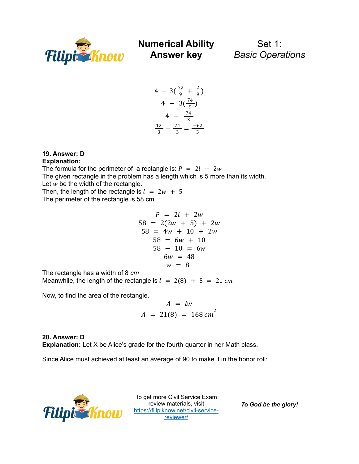

Set 1: *Basic Operations*

$$
4 - 3\left(\frac{72}{9} + \frac{2}{9}\right)
$$
  
\n
$$
4 - 3\left(\frac{74}{9}\right)
$$
  
\n
$$
4 - \frac{74}{3}
$$
  
\n
$$
\frac{12}{3} - \frac{74}{3} = \frac{-62}{3}
$$

# **19. Answer: D**

#### **Explanation:**

The formula for the perimeter of a rectangle is:  $P = 2l + 2w$ The given rectangle in the problem has a length which is 5 more than its width. Let  $w$  be the width of the rectangle.

Then, the length of the rectangle is  $l = 2w + 5$ The perimeter of the rectangle is 58 cm.

$$
P = 2l + 2w
$$
  
\n
$$
58 = 2(2w + 5) + 2w
$$
  
\n
$$
58 = 4w + 10 + 2w
$$
  
\n
$$
58 = 6w + 10
$$
  
\n
$$
58 - 10 = 6w
$$
  
\n
$$
6w = 48
$$
  
\n
$$
w = 8
$$

The rectangle has a width of 8 *cm*

Meanwhile, the length of the rectangle is  $l = 2(8) + 5 = 21$  cm

Now, to find the area of the rectangle.

$$
A = lw
$$
  

$$
A = 21(8) = 168 cm2
$$

**20. Answer: D Explanation:** Let X be Alice's grade for the fourth quarter in her Math class.

Since Alice must achieved at least an average of 90 to make it in the honor roll:



To get more Civil Service Exam review materials, visit [https://filipiknow.net/civil-service](https://filipiknow.net/civil-service-reviewer/)[reviewer/](https://filipiknow.net/civil-service-reviewer/)